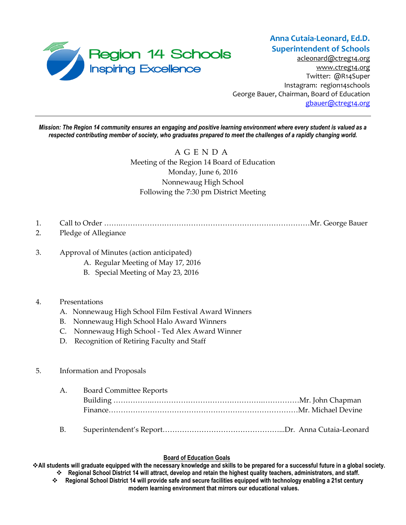

[acleonard@ctreg14.org](mailto:acleonard@ctreg14.org) [www.ctreg14.org](http://www.ctreg14.org/) Twitter: @R14Super Instagram: region14schools George Bauer, Chairman, Board of Education [gbauer@ctreg14.org](mailto:gbauer@ctreg14.org)

*Mission: The Region 14 community ensures an engaging and positive learning environment where every student is valued as a respected contributing member of society, who graduates prepared to meet the challenges of a rapidly changing world.*

> A G E N D A Meeting of the Region 14 Board of Education Monday, June 6, 2016 Nonnewaug High School Following the 7:30 pm District Meeting

- 1. Call to Order …….……………………………………………………………………Mr. George Bauer
- 2. Pledge of Allegiance
- 3. Approval of Minutes (action anticipated)
	- A. Regular Meeting of May 17, 2016
	- B. Special Meeting of May 23, 2016

## 4. Presentations

- A. Nonnewaug High School Film Festival Award Winners
- B. Nonnewaug High School Halo Award Winners
- C. Nonnewaug High School Ted Alex Award Winner
- D. Recognition of Retiring Faculty and Staff

## 5. Information and Proposals

|  | A. Board Committee Reports |  |  |
|--|----------------------------|--|--|
|  |                            |  |  |
|  |                            |  |  |
|  |                            |  |  |

### **Board of Education Goals**

**All students will graduate equipped with the necessary knowledge and skills to be prepared for a successful future in a global society.** 

- **Regional School District 14 will attract, develop and retain the highest quality teachers, administrators, and staff. Regional School District 14 will provide safe and secure facilities equipped with technology enabling a 21st century** 
	- **modern learning environment that mirrors our educational values.**